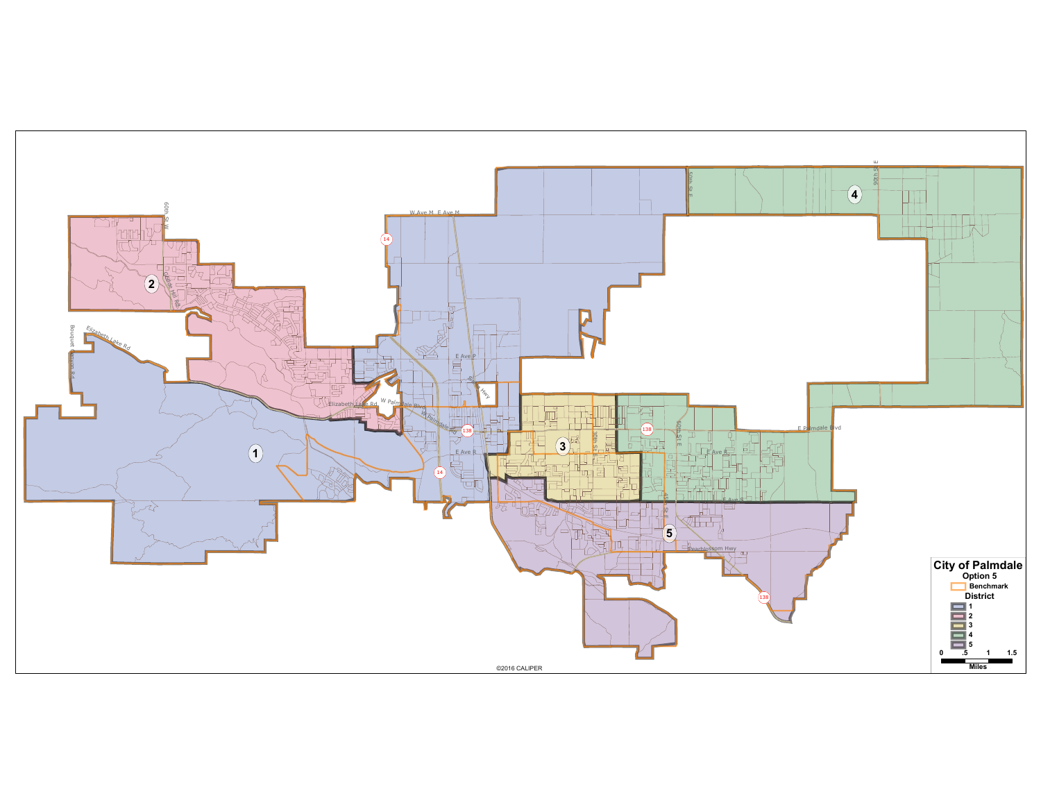